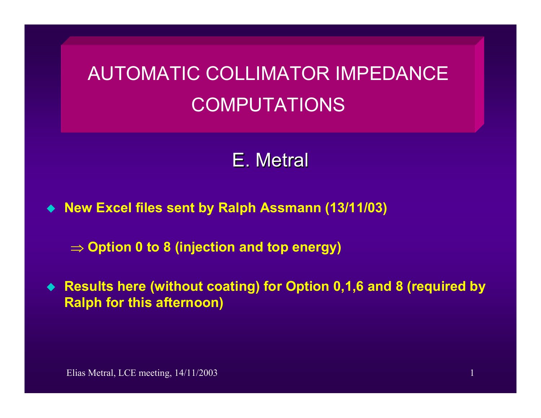## AUTOMATIC COLLIMATOR IMPEDANCE COMPUTATIONS

## E. Metral

**New Excel files sent by Ralph Assmann (13/11/03)** 

⇒ **Option 0 to 8 (injection and top energy)**

 **Results here (without coating) for Option 0,1,6 and 8 (required by Ralph for this afternoon)**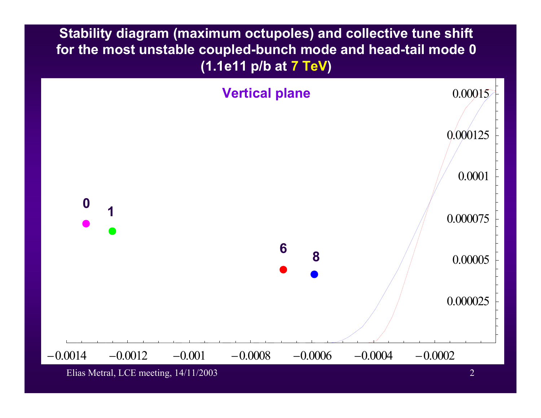**Stability diagram (maximum octupoles) and collective tune shift for the most unstable coupled-bunch mode and head-tail mode 0 (1.1e11 p/b at 7 TeV)** 



Elias Metral, LCE meeting, 14/11/2003 2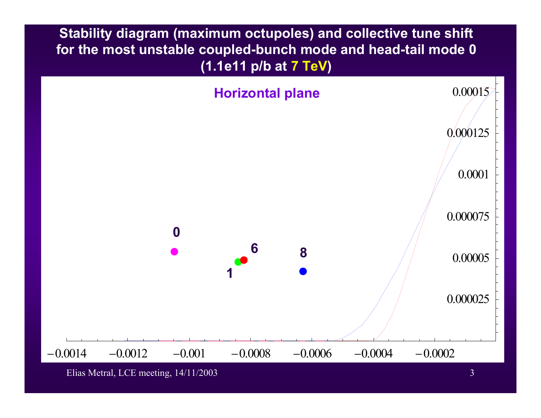**Stability diagram (maximum octupoles) and collective tune shift for the most unstable coupled-bunch mode and head-tail mode 0 (1.1e11 p/b at 7 TeV)** 



Elias Metral, LCE meeting, 14/11/2003 3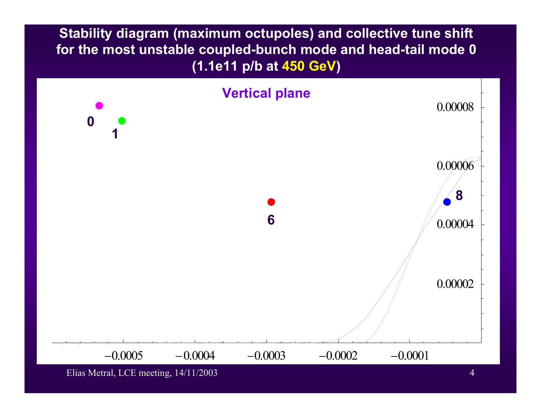**Stability diagram (maximum octupoles) and collective tune shift for the most unstable coupled-bunch mode and head-tail mode 0 (1.1e11 p/b at 450 GeV)**